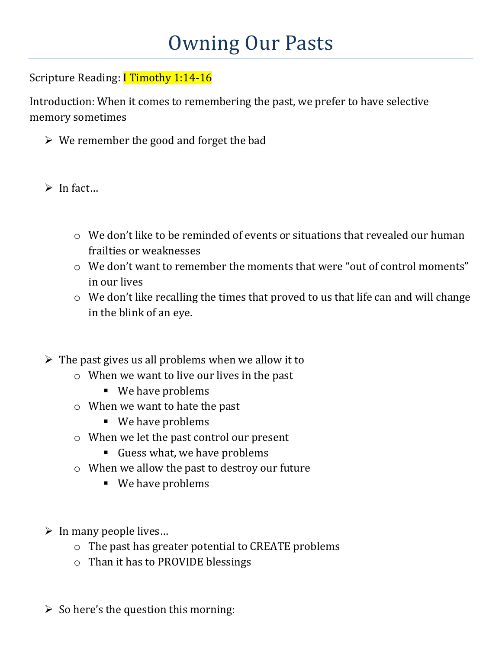## Scripture Reading: **I Timothy 1:14-16**

Introduction: When it comes to remembering the past, we prefer to have selective memory sometimes

- $\triangleright$  We remember the good and forget the bad
- $\triangleright$  In fact...
	- $\circ$  We don't like to be reminded of events or situations that revealed our human frailties or weaknesses
	- o We don't want to remember the moments that were "out of control moments" in our lives
	- o We don't like recalling the times that proved to us that life can and will change in the blink of an eye.
- $\triangleright$  The past gives us all problems when we allow it to
	- o When we want to live our lives in the past
		- **We have problems**
	- o When we want to hate the past
		- **We have problems**
	- o When we let the past control our present
		- Guess what, we have problems
	- o When we allow the past to destroy our future
		- **We have problems**
- $\triangleright$  In many people lives...
	- o The past has greater potential to CREATE problems
	- o Than it has to PROVIDE blessings
- $\triangleright$  So here's the question this morning: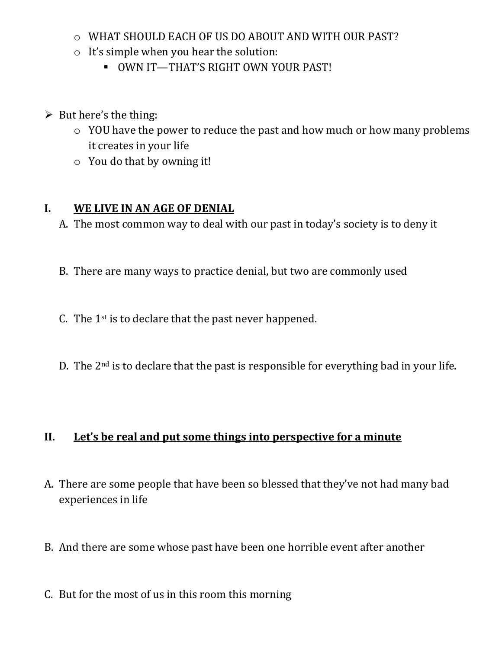- o WHAT SHOULD EACH OF US DO ABOUT AND WITH OUR PAST?
- o It's simple when you hear the solution:
	- **-** OWN IT-THAT'S RIGHT OWN YOUR PAST!
- $\triangleright$  But here's the thing:
	- o YOU have the power to reduce the past and how much or how many problems it creates in your life
	- o You do that by owning it!

#### **I. WE LIVE IN AN AGE OF DENIAL**

- A. The most common way to deal with our past in today's society is to deny it
- B. There are many ways to practice denial, but two are commonly used
- C. The 1st is to declare that the past never happened.
- D. The 2nd is to declare that the past is responsible for everything bad in your life.

#### **II. Let's be real and put some things into perspective for a minute**

- A. There are some people that have been so blessed that they've not had many bad experiences in life
- B. And there are some whose past have been one horrible event after another
- C. But for the most of us in this room this morning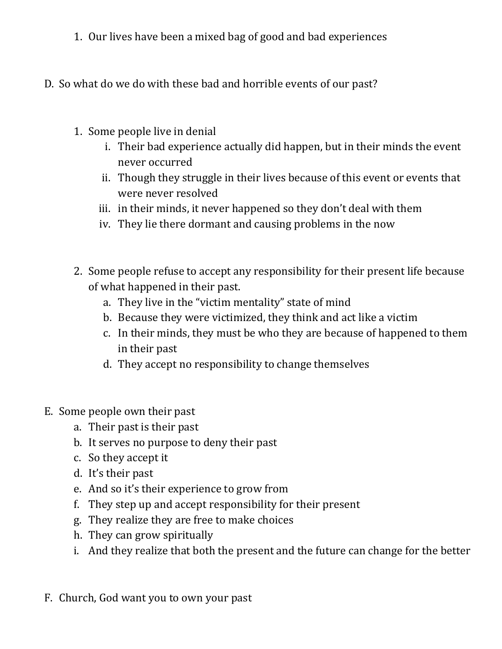- 1. Our lives have been a mixed bag of good and bad experiences
- D. So what do we do with these bad and horrible events of our past?
	- 1. Some people live in denial
		- i. Their bad experience actually did happen, but in their minds the event never occurred
		- ii. Though they struggle in their lives because of this event or events that were never resolved
		- iii. in their minds, it never happened so they don't deal with them
		- iv. They lie there dormant and causing problems in the now
	- 2. Some people refuse to accept any responsibility for their present life because of what happened in their past.
		- a. They live in the "victim mentality" state of mind
		- b. Because they were victimized, they think and act like a victim
		- c. In their minds, they must be who they are because of happened to them in their past
		- d. They accept no responsibility to change themselves
- E. Some people own their past
	- a. Their past is their past
	- b. It serves no purpose to deny their past
	- c. So they accept it
	- d. It's their past
	- e. And so it's their experience to grow from
	- f. They step up and accept responsibility for their present
	- g. They realize they are free to make choices
	- h. They can grow spiritually
	- i. And they realize that both the present and the future can change for the better
- F. Church, God want you to own your past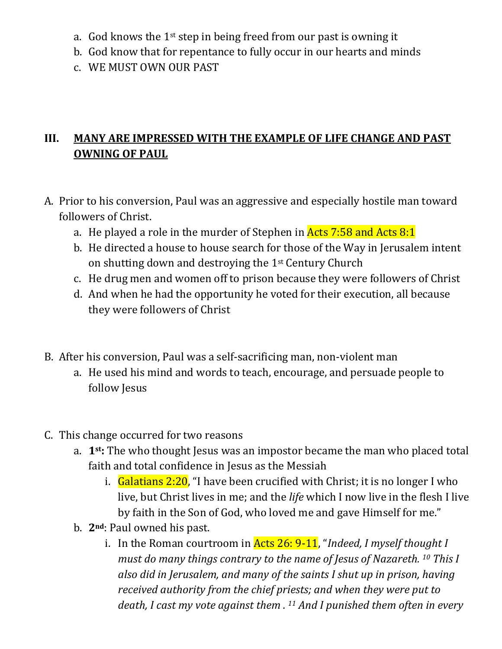- a. God knows the 1st step in being freed from our past is owning it
- b. God know that for repentance to fully occur in our hearts and minds
- c. WE MUST OWN OUR PAST

### **III. MANY ARE IMPRESSED WITH THE EXAMPLE OF LIFE CHANGE AND PAST OWNING OF PAUL**

- A. Prior to his conversion, Paul was an aggressive and especially hostile man toward followers of Christ.
	- a. He played a role in the murder of Stephen in **Acts 7:58 and Acts 8:1**
	- b. He directed a house to house search for those of the Way in Jerusalem intent on shutting down and destroying the 1st Century Church
	- c. He drug men and women off to prison because they were followers of Christ
	- d. And when he had the opportunity he voted for their execution, all because they were followers of Christ
- B. After his conversion, Paul was a self-sacrificing man, non-violent man
	- a. He used his mind and words to teach, encourage, and persuade people to follow Jesus
- C. This change occurred for two reasons
	- a. **1st:** The who thought Jesus was an impostor became the man who placed total faith and total confidence in Jesus as the Messiah
		- i. Galatians  $2:20$ , "I have been crucified with Christ; it is no longer I who live, but Christ lives in me; and the *life* which I now live in the flesh I live by faith in the Son of God, who loved me and gave Himself for me."
	- b. **2nd**: Paul owned his past.
		- i. In the Roman courtroom in Acts 26: 9-11, "*Indeed, I myself thought I must do many things contrary to the name of Jesus of Nazareth. 10 This I also did in Jerusalem, and many of the saints I shut up in prison, having received authority from the chief priests; and when they were put to death, I cast my vote against them . 11 And I punished them often in every*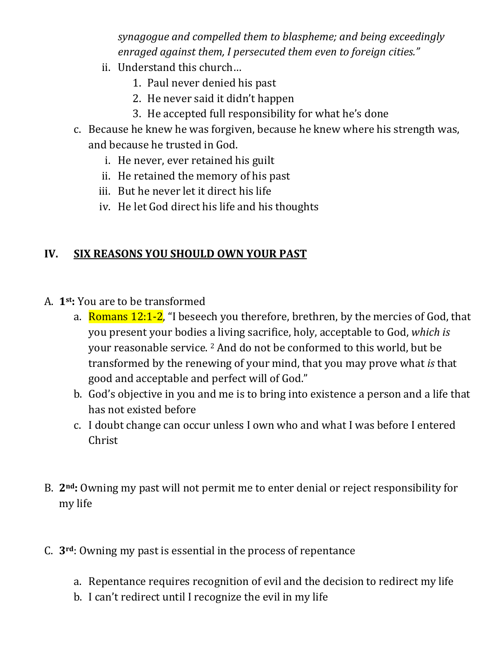*synagogue and compelled them to blaspheme; and being exceedingly enraged against them, I persecuted them even to foreign cities."*

- ii. Understand this church…
	- 1. Paul never denied his past
	- 2. He never said it didn't happen
	- 3. He accepted full responsibility for what he's done
- c. Because he knew he was forgiven, because he knew where his strength was, and because he trusted in God.
	- i. He never, ever retained his guilt
	- ii. He retained the memory of his past
	- iii. But he never let it direct his life
	- iv. He let God direct his life and his thoughts

# **IV. SIX REASONS YOU SHOULD OWN YOUR PAST**

- A. **1st:** You are to be transformed
	- a. Romans  $12:1-2$ , "I beseech you therefore, brethren, by the mercies of God, that you present your bodies a living sacrifice, holy, acceptable to God, *which is* your reasonable service. 2 And do not be conformed to this world, but be transformed by the renewing of your mind, that you may prove what *is* that good and acceptable and perfect will of God."
	- b. God's objective in you and me is to bring into existence a person and a life that has not existed before
	- c. I doubt change can occur unless I own who and what I was before I entered Christ
- B. **2nd:** Owning my past will not permit me to enter denial or reject responsibility for my life
- C. **3rd**: Owning my past is essential in the process of repentance
	- a. Repentance requires recognition of evil and the decision to redirect my life
	- b. I can't redirect until I recognize the evil in my life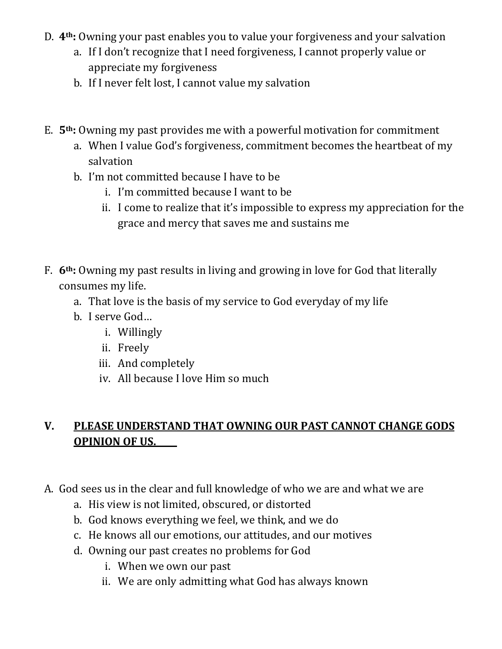- D. **4th:** Owning your past enables you to value your forgiveness and your salvation
	- a. If I don't recognize that I need forgiveness, I cannot properly value or appreciate my forgiveness
	- b. If I never felt lost, I cannot value my salvation
- E. **5th:** Owning my past provides me with a powerful motivation for commitment
	- a. When I value God's forgiveness, commitment becomes the heartbeat of my salvation
	- b. I'm not committed because I have to be
		- i. I'm committed because I want to be
		- ii. I come to realize that it's impossible to express my appreciation for the grace and mercy that saves me and sustains me
- F. **6th:** Owning my past results in living and growing in love for God that literally consumes my life.
	- a. That love is the basis of my service to God everyday of my life
	- b. I serve God…
		- i. Willingly
		- ii. Freely
		- iii. And completely
		- iv. All because I love Him so much

### **V. PLEASE UNDERSTAND THAT OWNING OUR PAST CANNOT CHANGE GODS OPINION OF US.**

- A. God sees us in the clear and full knowledge of who we are and what we are
	- a. His view is not limited, obscured, or distorted
	- b. God knows everything we feel, we think, and we do
	- c. He knows all our emotions, our attitudes, and our motives
	- d. Owning our past creates no problems for God
		- i. When we own our past
		- ii. We are only admitting what God has always known